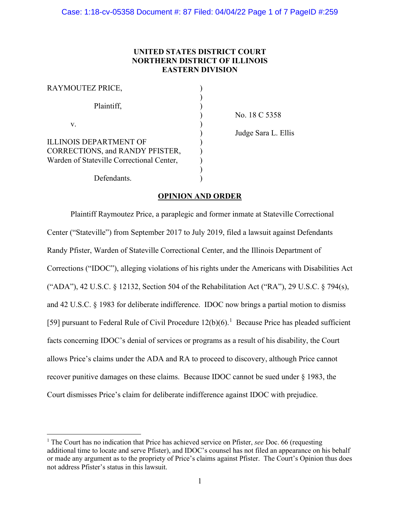# **UNITED STATES DISTRICT COURT NORTHERN DISTRICT OF ILLINOIS EASTERN DIVISION**

| RAYMOUTEZ PRICE,                                                 |  |
|------------------------------------------------------------------|--|
| Plaintiff,                                                       |  |
| V.                                                               |  |
| <b>ILLINOIS DEPARTMENT OF</b><br>CORRECTIONS, and RANDY PFISTER, |  |
| Warden of Stateville Correctional Center,                        |  |
| Defendants.                                                      |  |

) No. 18 C 5358

) Judge Sara L. Ellis

# **OPINION AND ORDER**

Plaintiff Raymoutez Price, a paraplegic and former inmate at Stateville Correctional Center ("Stateville") from September 2017 to July 2019, filed a lawsuit against Defendants Randy Pfister, Warden of Stateville Correctional Center, and the Illinois Department of Corrections ("IDOC"), alleging violations of his rights under the Americans with Disabilities Act ("ADA"), 42 U.S.C. § 12132, Section 504 of the Rehabilitation Act ("RA"), 29 U.S.C. § 794(s), and 42 U.S.C. § 1983 for deliberate indifference. IDOC now brings a partial motion to dismiss [59] pursuant to Federal Rule of Civil Procedure  $12(b)(6)$  $12(b)(6)$ .<sup>1</sup> Because Price has pleaded sufficient facts concerning IDOC's denial of services or programs as a result of his disability, the Court allows Price's claims under the ADA and RA to proceed to discovery, although Price cannot recover punitive damages on these claims. Because IDOC cannot be sued under § 1983, the Court dismisses Price's claim for deliberate indifference against IDOC with prejudice.

<span id="page-0-0"></span><sup>1</sup> The Court has no indication that Price has achieved service on Pfister, *see* Doc. 66 (requesting additional time to locate and serve Pfister), and IDOC's counsel has not filed an appearance on his behalf or made any argument as to the propriety of Price's claims against Pfister. The Court's Opinion thus does not address Pfister's status in this lawsuit.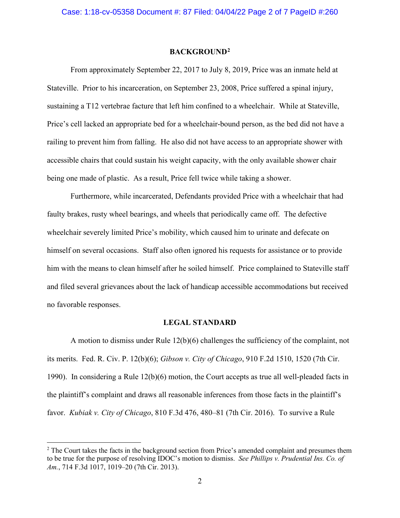### **BACKGROUND[2](#page-1-0)**

From approximately September 22, 2017 to July 8, 2019, Price was an inmate held at Stateville. Prior to his incarceration, on September 23, 2008, Price suffered a spinal injury, sustaining a T12 vertebrae facture that left him confined to a wheelchair. While at Stateville, Price's cell lacked an appropriate bed for a wheelchair-bound person, as the bed did not have a railing to prevent him from falling. He also did not have access to an appropriate shower with accessible chairs that could sustain his weight capacity, with the only available shower chair being one made of plastic. As a result, Price fell twice while taking a shower.

Furthermore, while incarcerated, Defendants provided Price with a wheelchair that had faulty brakes, rusty wheel bearings, and wheels that periodically came off. The defective wheelchair severely limited Price's mobility, which caused him to urinate and defecate on himself on several occasions. Staff also often ignored his requests for assistance or to provide him with the means to clean himself after he soiled himself. Price complained to Stateville staff and filed several grievances about the lack of handicap accessible accommodations but received no favorable responses.

## **LEGAL STANDARD**

A motion to dismiss under Rule 12(b)(6) challenges the sufficiency of the complaint, not its merits. Fed. R. Civ. P. 12(b)(6); *Gibson v. City of Chicago*, 910 F.2d 1510, 1520 (7th Cir. 1990). In considering a Rule 12(b)(6) motion, the Court accepts as true all well-pleaded facts in the plaintiff's complaint and draws all reasonable inferences from those facts in the plaintiff's favor. *Kubiak v. City of Chicago*, 810 F.3d 476, 480–81 (7th Cir. 2016). To survive a Rule

<span id="page-1-0"></span><sup>&</sup>lt;sup>2</sup> The Court takes the facts in the background section from Price's amended complaint and presumes them to be true for the purpose of resolving IDOC's motion to dismiss. *See Phillips v. Prudential Ins. Co. of Am.*, 714 F.3d 1017, 1019–20 (7th Cir. 2013).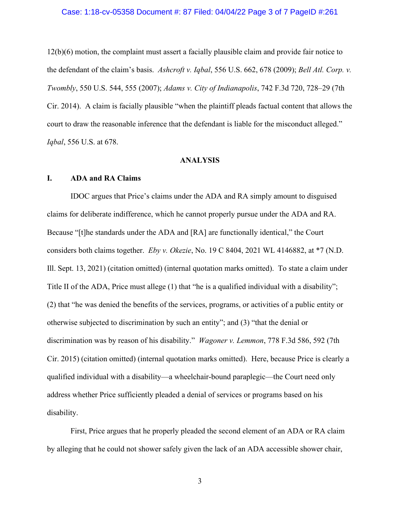# Case: 1:18-cv-05358 Document #: 87 Filed: 04/04/22 Page 3 of 7 PageID #:261

12(b)(6) motion, the complaint must assert a facially plausible claim and provide fair notice to the defendant of the claim's basis. *Ashcroft v. Iqbal*, 556 U.S. 662, 678 (2009); *Bell Atl. Corp. v. Twombly*, 550 U.S. 544, 555 (2007); *Adams v. City of Indianapolis*, 742 F.3d 720, 728–29 (7th Cir. 2014). A claim is facially plausible "when the plaintiff pleads factual content that allows the court to draw the reasonable inference that the defendant is liable for the misconduct alleged." *Iqbal*, 556 U.S. at 678.

#### **ANALYSIS**

# **I. ADA and RA Claims**

IDOC argues that Price's claims under the ADA and RA simply amount to disguised claims for deliberate indifference, which he cannot properly pursue under the ADA and RA. Because "[t]he standards under the ADA and [RA] are functionally identical," the Court considers both claims together. *Eby v. Okezie*, No. 19 C 8404, 2021 WL 4146882, at \*7 (N.D. Ill. Sept. 13, 2021) (citation omitted) (internal quotation marks omitted). To state a claim under Title II of the ADA, Price must allege (1) that "he is a qualified individual with a disability"; (2) that "he was denied the benefits of the services, programs, or activities of a public entity or otherwise subjected to discrimination by such an entity"; and (3) "that the denial or discrimination was by reason of his disability." *Wagoner v. Lemmon*, 778 F.3d 586, 592 (7th Cir. 2015) (citation omitted) (internal quotation marks omitted). Here, because Price is clearly a qualified individual with a disability—a wheelchair-bound paraplegic—the Court need only address whether Price sufficiently pleaded a denial of services or programs based on his disability.

First, Price argues that he properly pleaded the second element of an ADA or RA claim by alleging that he could not shower safely given the lack of an ADA accessible shower chair,

3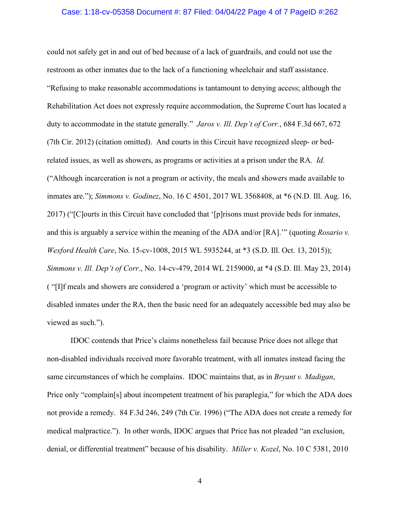# Case: 1:18-cv-05358 Document #: 87 Filed: 04/04/22 Page 4 of 7 PageID #:262

could not safely get in and out of bed because of a lack of guardrails, and could not use the restroom as other inmates due to the lack of a functioning wheelchair and staff assistance. "Refusing to make reasonable accommodations is tantamount to denying access; although the Rehabilitation Act does not expressly require accommodation, the Supreme Court has located a duty to accommodate in the statute generally." *Jaros v. Ill. Dep't of Corr.*, 684 F.3d 667, 672 (7th Cir. 2012) (citation omitted). And courts in this Circuit have recognized sleep- or bedrelated issues, as well as showers, as programs or activities at a prison under the RA. *Id.* ("Although incarceration is not a program or activity, the meals and showers made available to inmates are."); *Simmons v. Godinez*, No. 16 C 4501, 2017 WL 3568408, at \*6 (N.D. Ill. Aug. 16, 2017) ("[C]ourts in this Circuit have concluded that '[p]risons must provide beds for inmates, and this is arguably a service within the meaning of the ADA and/or [RA].'" (quoting *Rosario v. Wexford Health Care*, No. 15-cv-1008, 2015 WL 5935244, at \*3 (S.D. Ill. Oct. 13, 2015)); *Simmons v. Ill. Dep't of Corr.*, No. 14-cv-479, 2014 WL 2159000, at \*4 (S.D. Ill. May 23, 2014) ( "[I]f meals and showers are considered a 'program or activity' which must be accessible to disabled inmates under the RA, then the basic need for an adequately accessible bed may also be viewed as such.").

IDOC contends that Price's claims nonetheless fail because Price does not allege that non-disabled individuals received more favorable treatment, with all inmates instead facing the same circumstances of which he complains. IDOC maintains that, as in *Bryant v. Madigan*, Price only "complain[s] about incompetent treatment of his paraplegia," for which the ADA does not provide a remedy. 84 F.3d 246, 249 (7th Cir. 1996) ("The ADA does not create a remedy for medical malpractice."). In other words, IDOC argues that Price has not pleaded "an exclusion, denial, or differential treatment" because of his disability. *Miller v. Kozel*, No. 10 C 5381, 2010

4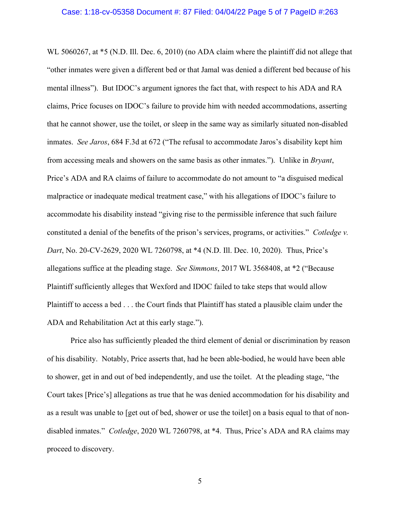WL 5060267, at \*5 (N.D. Ill. Dec. 6, 2010) (no ADA claim where the plaintiff did not allege that "other inmates were given a different bed or that Jamal was denied a different bed because of his mental illness"). But IDOC's argument ignores the fact that, with respect to his ADA and RA claims, Price focuses on IDOC's failure to provide him with needed accommodations, asserting that he cannot shower, use the toilet, or sleep in the same way as similarly situated non-disabled inmates. *See Jaros*, 684 F.3d at 672 ("The refusal to accommodate Jaros's disability kept him from accessing meals and showers on the same basis as other inmates."). Unlike in *Bryant*, Price's ADA and RA claims of failure to accommodate do not amount to "a disguised medical malpractice or inadequate medical treatment case," with his allegations of IDOC's failure to accommodate his disability instead "giving rise to the permissible inference that such failure constituted a denial of the benefits of the prison's services, programs, or activities." *Cotledge v. Dart*, No. 20-CV-2629, 2020 WL 7260798, at \*4 (N.D. Ill. Dec. 10, 2020). Thus, Price's allegations suffice at the pleading stage. *See Simmons*, 2017 WL 3568408, at \*2 ("Because Plaintiff sufficiently alleges that Wexford and IDOC failed to take steps that would allow Plaintiff to access a bed . . . the Court finds that Plaintiff has stated a plausible claim under the ADA and Rehabilitation Act at this early stage.").

Price also has sufficiently pleaded the third element of denial or discrimination by reason of his disability. Notably, Price asserts that, had he been able-bodied, he would have been able to shower, get in and out of bed independently, and use the toilet. At the pleading stage, "the Court takes [Price's] allegations as true that he was denied accommodation for his disability and as a result was unable to [get out of bed, shower or use the toilet] on a basis equal to that of nondisabled inmates." *Cotledge*, 2020 WL 7260798, at \*4. Thus, Price's ADA and RA claims may proceed to discovery.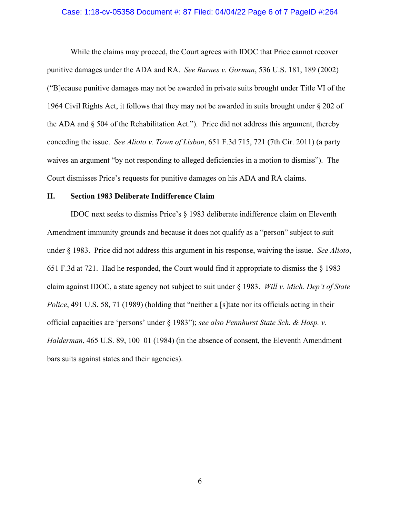## Case: 1:18-cv-05358 Document #: 87 Filed: 04/04/22 Page 6 of 7 PageID #:264

While the claims may proceed, the Court agrees with IDOC that Price cannot recover punitive damages under the ADA and RA. *See Barnes v. Gorman*, 536 U.S. 181, 189 (2002) ("B]ecause punitive damages may not be awarded in private suits brought under Title VI of the 1964 Civil Rights Act, it follows that they may not be awarded in suits brought under § 202 of the ADA and § 504 of the Rehabilitation Act."). Price did not address this argument, thereby conceding the issue. *See Alioto v. Town of Lisbon*, 651 F.3d 715, 721 (7th Cir. 2011) (a party waives an argument "by not responding to alleged deficiencies in a motion to dismiss"). The Court dismisses Price's requests for punitive damages on his ADA and RA claims.

# **II. Section 1983 Deliberate Indifference Claim**

IDOC next seeks to dismiss Price's § 1983 deliberate indifference claim on Eleventh Amendment immunity grounds and because it does not qualify as a "person" subject to suit under § 1983. Price did not address this argument in his response, waiving the issue. *See Alioto*, 651 F.3d at 721. Had he responded, the Court would find it appropriate to dismiss the § 1983 claim against IDOC, a state agency not subject to suit under § 1983. *Will v. Mich. Dep't of State Police*, 491 U.S. 58, 71 (1989) (holding that "neither a [s] tate nor its officials acting in their official capacities are 'persons' under § 1983"); *see also Pennhurst State Sch. & Hosp. v. Halderman*, 465 U.S. 89, 100–01 (1984) (in the absence of consent, the Eleventh Amendment bars suits against states and their agencies).

6